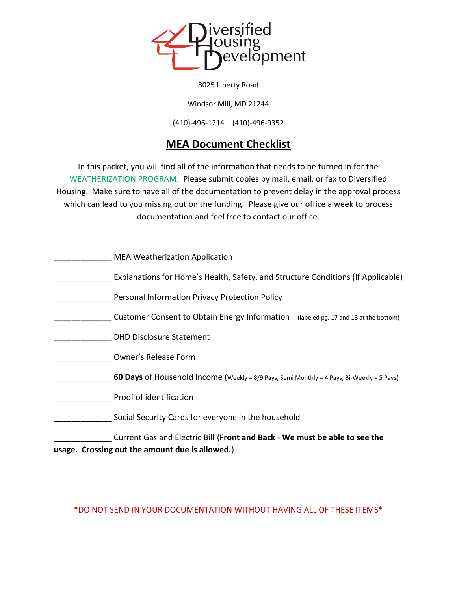

8025 Liberty Road

Windsor Mill, MD 21244

(410)-496-1214 – (410)-496-9352

# **MEA Document Checklist**

In this packet, you will find all of the information that needs to be turned in for the WEATHERIZATION PROGRAM. Please submit copies by mail, email, or fax to Diversified Housing. Make sure to have all of the documentation to prevent delay in the approval process which can lead to you missing out on the funding. Please give our office a week to process documentation and feel free to contact our office.

| <b>MEA Weatherization Application</b>                                                                                         |
|-------------------------------------------------------------------------------------------------------------------------------|
| Explanations for Home's Health, Safety, and Structure Conditions (If Applicable)                                              |
| Personal Information Privacy Protection Policy                                                                                |
| Customer Consent to Obtain Energy Information<br>(labeled pg. 17 and 18 at the bottom)                                        |
| <b>DHD Disclosure Statement</b>                                                                                               |
| Owner's Release Form                                                                                                          |
| 60 Days of Household Income (Weekly = 8/9 Pays, Semi Monthly = 4 Pays, Bi-Weekly = 5 Pays)                                    |
| Proof of identification                                                                                                       |
| Social Security Cards for everyone in the household                                                                           |
| Current Gas and Electric Bill (Front and Back - We must be able to see the<br>usage. Crossing out the amount due is allowed.) |

\*DO NOT SEND IN YOUR DOCUMENTATION WITHOUT HAVING ALL OF THESE ITEMS\*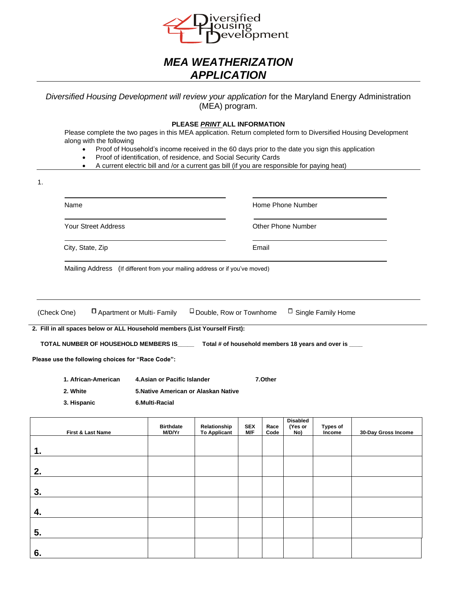

# *MEA WEATHERIZATION APPLICATION*

*Diversified Housing Development will review your application* for the Maryland Energy Administration (MEA) program.

#### **PLEASE** *PRINT* **ALL INFORMATION**

Please complete the two pages in this MEA application. Return completed form to Diversified Housing Development along with the following

- Proof of Household's income received in the 60 days prior to the date you sign this application
- Proof of identification, of residence, and Social Security Cards
- A current electric bill and /or a current gas bill (if you are responsible for paying heat)

| 1. |                                                                                                                                                                                                                                                                                        |                                                                                        |                                     |                   |                                         |                                   |                           |                     |
|----|----------------------------------------------------------------------------------------------------------------------------------------------------------------------------------------------------------------------------------------------------------------------------------------|----------------------------------------------------------------------------------------|-------------------------------------|-------------------|-----------------------------------------|-----------------------------------|---------------------------|---------------------|
|    | Name<br><b>Your Street Address</b><br>City, State, Zip                                                                                                                                                                                                                                 |                                                                                        |                                     |                   | Home Phone Number<br>Other Phone Number |                                   |                           |                     |
|    |                                                                                                                                                                                                                                                                                        |                                                                                        |                                     |                   |                                         |                                   |                           |                     |
|    |                                                                                                                                                                                                                                                                                        |                                                                                        |                                     |                   | Email                                   |                                   |                           |                     |
|    | Mailing Address (If different from your mailing address or if you've moved)                                                                                                                                                                                                            |                                                                                        |                                     |                   |                                         |                                   |                           |                     |
|    | □ Apartment or Multi- Family<br>(Check One)                                                                                                                                                                                                                                            |                                                                                        | $\Box$ Double, Row or Townhome      |                   |                                         |                                   | $\Box$ Single Family Home |                     |
|    | 2. Fill in all spaces below or ALL Household members (List Yourself First):<br>TOTAL NUMBER OF HOUSEHOLD MEMBERS IS_____ Total # of household members 18 years and over is ____<br>Please use the following choices for "Race Code":<br>1. African-American<br>2. White<br>3. Hispanic | 4. Asian or Pacific Islander<br>5. Native American or Alaskan Native<br>6.Multi-Racial |                                     |                   | 7.Other                                 |                                   |                           |                     |
|    | First & Last Name                                                                                                                                                                                                                                                                      | <b>Birthdate</b><br>M/D/Yr                                                             | Relationship<br><b>To Applicant</b> | <b>SEX</b><br>M/F | Race<br>Code                            | <b>Disabled</b><br>(Yes or<br>No) | Types of<br>Income        | 30-Day Gross Income |
| 1. |                                                                                                                                                                                                                                                                                        |                                                                                        |                                     |                   |                                         |                                   |                           |                     |
| 2. |                                                                                                                                                                                                                                                                                        |                                                                                        |                                     |                   |                                         |                                   |                           |                     |
| 3. |                                                                                                                                                                                                                                                                                        |                                                                                        |                                     |                   |                                         |                                   |                           |                     |
| 4. |                                                                                                                                                                                                                                                                                        |                                                                                        |                                     |                   |                                         |                                   |                           |                     |
| 5. |                                                                                                                                                                                                                                                                                        |                                                                                        |                                     |                   |                                         |                                   |                           |                     |
| 6. |                                                                                                                                                                                                                                                                                        |                                                                                        |                                     |                   |                                         |                                   |                           |                     |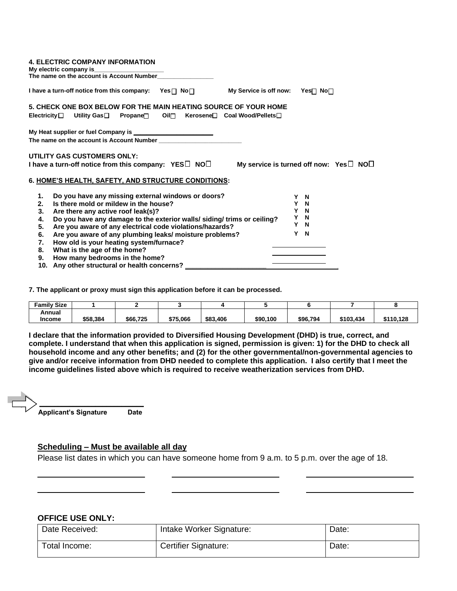| <b>4. ELECTRIC COMPANY INFORMATION</b>                                                                                                      |   |  |  |  |
|---------------------------------------------------------------------------------------------------------------------------------------------|---|--|--|--|
| I have a turn-off notice from this company: $Yes \Box No \Box$<br>My Service is off now: Yes $\Box$ No $\Box$                               |   |  |  |  |
| 5. CHECK ONE BOX BELOW FOR THE MAIN HEATING SOURCE OF YOUR HOME                                                                             |   |  |  |  |
| Electricity□ Utility Gas□ Propane□ Oil□ Kerosene□ Coal Wood/Pellets□                                                                        |   |  |  |  |
|                                                                                                                                             |   |  |  |  |
| UTILITY GAS CUSTOMERS ONLY:<br>I have a turn-off notice from this company: $YES\Box NOC\Box$<br>My service is turned off now: $Yes \Box NO$ |   |  |  |  |
| 6. HOME'S HEALTH, SAFETY, AND STRUCTURE CONDITIONS:                                                                                         |   |  |  |  |
| Do you have any missing external windows or doors?<br>1.<br>Y N                                                                             |   |  |  |  |
| 2.<br>Is there mold or mildew in the house?<br>Y N                                                                                          |   |  |  |  |
| Y N<br>Are there any active roof leak(s)?<br>3.                                                                                             |   |  |  |  |
| $\mathbf N$<br>Do you have any damage to the exterior walls/ siding/ trims or ceiling?<br>4.                                                | Y |  |  |  |
| Y N<br>Are you aware of any electrical code violations/hazards?                                                                             |   |  |  |  |
| 5.<br>$\mathbf N$<br>Y<br>Are you aware of any plumbing leaks/ moisture problems?<br>6.                                                     |   |  |  |  |
| How old is your heating system/furnace?<br>7.                                                                                               |   |  |  |  |
| What is the age of the home?<br>8.                                                                                                          |   |  |  |  |
| How many bedrooms in the home?<br>9.                                                                                                        |   |  |  |  |
| 10. Any other structural or health concerns?                                                                                                |   |  |  |  |

**7. The applicant or proxy must sign this application before it can be processed.**

| <b>Family Size</b> |          |          |          |          |          |          |           |           |
|--------------------|----------|----------|----------|----------|----------|----------|-----------|-----------|
| Annual             |          |          |          |          |          |          |           |           |
| <b>Income</b>      | \$58,384 | \$66,725 | \$75,066 | \$83,406 | \$90,100 | \$96,794 | \$103,434 | \$110.128 |

**I declare that the information provided to Diversified Housing Development (DHD) is true, correct, and complete. I understand that when this application is signed, permission is given: 1) for the DHD to check all household income and any other benefits; and (2) for the other governmental/non-governmental agencies to give and/or receive information from DHD needed to complete this application. I also certify that I meet the income guidelines listed above which is required to receive weatherization services from DHD.** 

 **Applicant's Signature Date**

### **Scheduling – Must be available all day**

Please list dates in which you can have someone home from 9 a.m. to 5 p.m. over the age of 18.

### **OFFICE USE ONLY:**

| Date Received: | Intake Worker Signature: | Date: |
|----------------|--------------------------|-------|
| Total Income:  | Certifier Signature:     | Date: |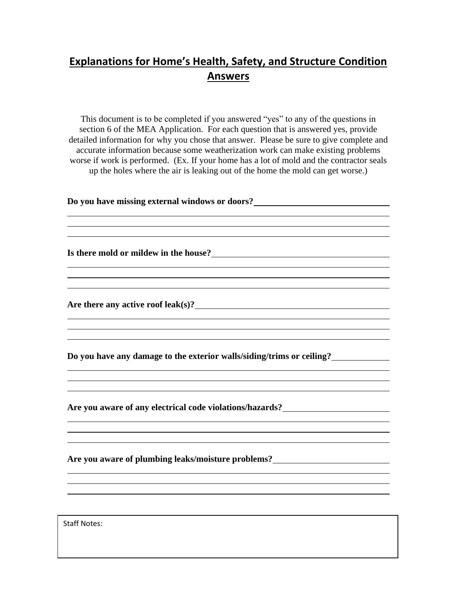# **Explanations for Home's Health, Safety, and Structure Condition Answers**

This document is to be completed if you answered "yes" to any of the questions in section 6 of the MEA Application. For each question that is answered yes, provide detailed information for why you chose that answer. Please be sure to give complete and accurate information because some weatherization work can make existing problems worse if work is performed. (Ex. If your home has a lot of mold and the contractor seals up the holes where the air is leaking out of the home the mold can get worse.)

<u> 1989 - Johann Stoff, amerikansk politiker (d. 1989)</u>

<u> 1980 - Johann Barbara, martxa alemaniar argametar a martxa a shekara a shekara a shekara a shekara a shekara</u>

**Do you have missing external windows or doors?**

**Is there mold or mildew in the house?**

**Are there any active roof leak(s)?**

**Do you have any damage to the exterior walls/siding/trims or ceiling?**

**Are you aware of any electrical code violations/hazards?**

**Are you aware of plumbing leaks/moisture problems?**

Staff Notes: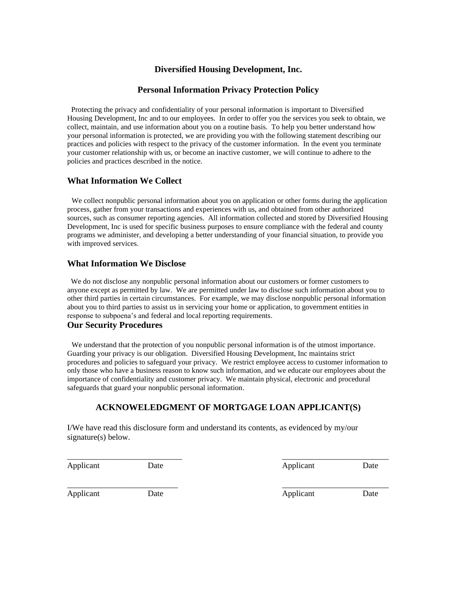## **Diversified Housing Development, Inc.**

## **Personal Information Privacy Protection Policy**

 Protecting the privacy and confidentiality of your personal information is important to Diversified Housing Development, Inc and to our employees. In order to offer you the services you seek to obtain, we collect, maintain, and use information about you on a routine basis. To help you better understand how your personal information is protected, we are providing you with the following statement describing our practices and policies with respect to the privacy of the customer information. In the event you terminate your customer relationship with us, or become an inactive customer, we will continue to adhere to the policies and practices described in the notice.

## **What Information We Collect**

We collect nonpublic personal information about you on application or other forms during the application process, gather from your transactions and experiences with us, and obtained from other authorized sources, such as consumer reporting agencies. All information collected and stored by Diversified Housing Development, Inc is used for specific business purposes to ensure compliance with the federal and county programs we administer, and developing a better understanding of your financial situation, to provide you with improved services.

### **What Information We Disclose**

We do not disclose any nonpublic personal information about our customers or former customers to anyone except as permitted by law. We are permitted under law to disclose such information about you to other third parties in certain circumstances. For example, we may disclose nonpublic personal information about you to third parties to assist us in servicing your home or application, to government entities in response to subpoena's and federal and local reporting requirements.

### **Our Security Procedures**

 We understand that the protection of you nonpublic personal information is of the utmost importance. Guarding your privacy is our obligation. Diversified Housing Development, Inc maintains strict procedures and policies to safeguard your privacy. We restrict employee access to customer information to only those who have a business reason to know such information, and we educate our employees about the importance of confidentiality and customer privacy. We maintain physical, electronic and procedural safeguards that guard your nonpublic personal information.

## **ACKNOWELEDGMENT OF MORTGAGE LOAN APPLICANT(S)**

\_\_\_\_\_\_\_\_\_\_\_\_\_\_\_\_\_\_\_\_\_\_\_\_\_\_\_\_ \_\_\_\_\_\_\_\_\_\_\_\_\_\_\_\_\_\_\_\_\_\_\_\_\_\_

I/We have read this disclosure form and understand its contents, as evidenced by my/our signature(s) below.

Applicant Date Date Applicant Date

\_\_\_\_\_\_\_\_\_\_\_\_\_\_\_\_\_\_\_\_\_\_\_\_\_\_\_ \_\_\_\_\_\_\_\_\_\_\_\_\_\_\_\_\_\_\_\_\_\_\_\_\_\_

Applicant Date Date Applicant Date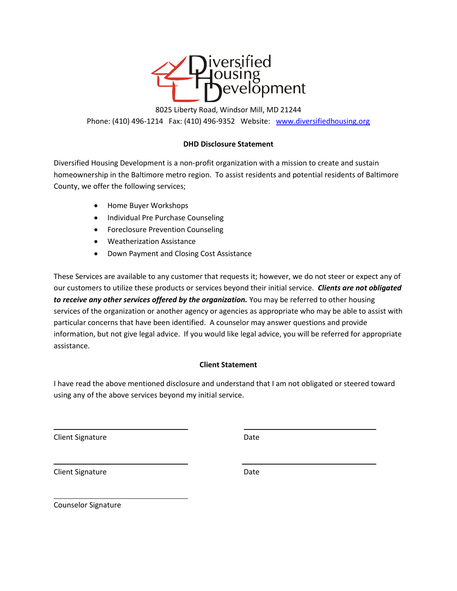

8025 Liberty Road, Windsor Mill, MD 21244 Phone: (410) 496-1214 Fax: (410) 496-9352 Website: [www.diversifiedhousing.org](http://www.diversifiedhousing.org/)

## **DHD Disclosure Statement**

Diversified Housing Development is a non-profit organization with a mission to create and sustain homeownership in the Baltimore metro region. To assist residents and potential residents of Baltimore County, we offer the following services;

- Home Buyer Workshops
- Individual Pre Purchase Counseling
- Foreclosure Prevention Counseling
- Weatherization Assistance
- Down Payment and Closing Cost Assistance

These Services are available to any customer that requests it; however, we do not steer or expect any of our customers to utilize these products or services beyond their initial service. *Clients are not obligated*  to receive any other services offered by the organization. You may be referred to other housing services of the organization or another agency or agencies as appropriate who may be able to assist with particular concerns that have been identified. A counselor may answer questions and provide information, but not give legal advice. If you would like legal advice, you will be referred for appropriate assistance.

## **Client Statement**

I have read the above mentioned disclosure and understand that I am not obligated or steered toward using any of the above services beyond my initial service.

i<br>L

Client Signature Date Date

Client Signature Date

i<br>L

Counselor Signature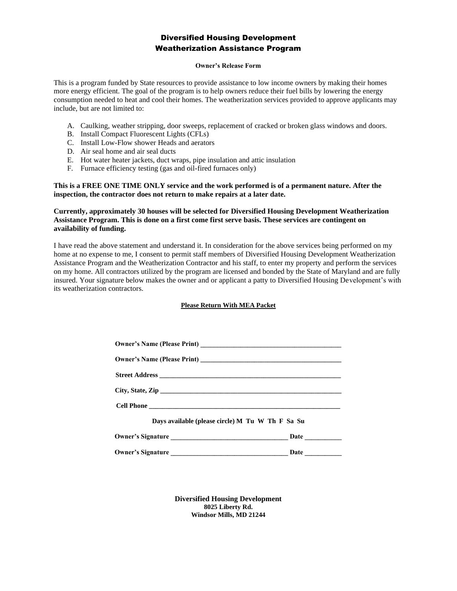### Diversified Housing Development Weatherization Assistance Program

#### **Owner's Release Form**

This is a program funded by State resources to provide assistance to low income owners by making their homes more energy efficient. The goal of the program is to help owners reduce their fuel bills by lowering the energy consumption needed to heat and cool their homes. The weatherization services provided to approve applicants may include, but are not limited to:

- A. Caulking, weather stripping, door sweeps, replacement of cracked or broken glass windows and doors.
- B. Install Compact Fluorescent Lights (CFLs)
- C. Install Low-Flow shower Heads and aerators
- D. Air seal home and air seal ducts
- E. Hot water heater jackets, duct wraps, pipe insulation and attic insulation
- F. Furnace efficiency testing (gas and oil-fired furnaces only)

#### **This is a FREE ONE TIME ONLY service and the work performed is of a permanent nature. After the inspection, the contractor does not return to make repairs at a later date.**

#### **Currently, approximately 30 houses will be selected for Diversified Housing Development Weatherization Assistance Program. This is done on a first come first serve basis. These services are contingent on availability of funding.**

I have read the above statement and understand it. In consideration for the above services being performed on my home at no expense to me, I consent to permit staff members of Diversified Housing Development Weatherization Assistance Program and the Weatherization Contractor and his staff, to enter my property and perform the services on my home. All contractors utilized by the program are licensed and bonded by the State of Maryland and are fully insured. Your signature below makes the owner and or applicant a patty to Diversified Housing Development's with its weatherization contractors.

#### **Please Return With MEA Packet**

| Days available (please circle) M Tu W Th F Sa Su |      |
|--------------------------------------------------|------|
|                                                  |      |
| <b>Owner's Signature</b>                         | Date |

**Diversified Housing Development 8025 Liberty Rd. Windsor Mills, MD 21244**